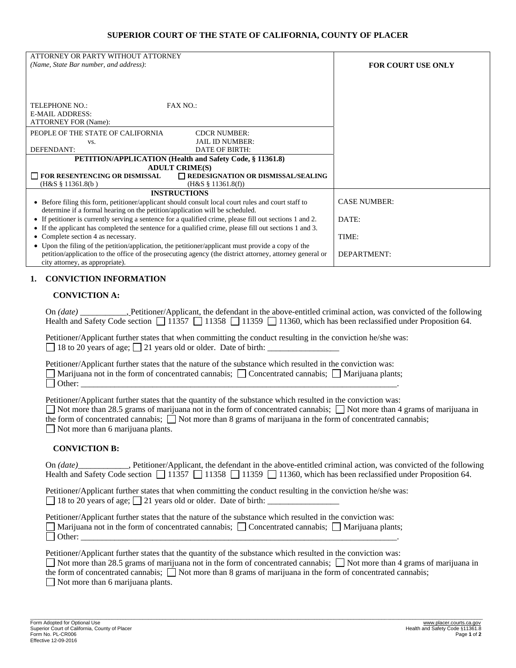### **SUPERIOR COURT OF THE STATE OF CALIFORNIA, COUNTY OF PLACER**

| ATTORNEY OR PARTY WITHOUT ATTORNEY<br>(Name, State Bar number, and address):                                                                                                        |                                           | <b>FOR COURT USE ONLY</b> |
|-------------------------------------------------------------------------------------------------------------------------------------------------------------------------------------|-------------------------------------------|---------------------------|
| TELEPHONE NO.:                                                                                                                                                                      | FAX NO.                                   |                           |
| <b>E-MAIL ADDRESS:</b><br><b>ATTORNEY FOR (Name):</b>                                                                                                                               |                                           |                           |
| PEOPLE OF THE STATE OF CALIFORNIA                                                                                                                                                   | <b>CDCR NUMBER:</b>                       |                           |
| VS.<br>DEFENDANT:                                                                                                                                                                   | <b>JAIL ID NUMBER:</b><br>DATE OF BIRTH:  |                           |
| PETITION/APPLICATION (Health and Safety Code, § 11361.8)                                                                                                                            |                                           |                           |
| <b>ADULT CRIME(S)</b>                                                                                                                                                               |                                           |                           |
| FOR RESENTENCING OR DISMISSAL                                                                                                                                                       | $\Box$ REDESIGNATION OR DISMISSAL/SEALING |                           |
| $(H&S \S 11361.8(b))$                                                                                                                                                               | $(H&S \S 11361.8(f))$                     |                           |
| <b>INSTRUCTIONS</b>                                                                                                                                                                 |                                           |                           |
| • Before filing this form, petitioner/applicant should consult local court rules and court staff to<br>determine if a formal hearing on the petition/application will be scheduled. |                                           | <b>CASE NUMBER:</b>       |
| • If petitioner is currently serving a sentence for a qualified crime, please fill out sections 1 and 2.                                                                            |                                           | DATE:                     |
| • If the applicant has completed the sentence for a qualified crime, please fill out sections 1 and 3.<br>Complete section 4 as necessary.                                          |                                           | TIME:                     |
| • Upon the filing of the petition/application, the petitioner/applicant must provide a copy of the                                                                                  |                                           |                           |
| petition/application to the office of the prosecuting agency (the district attorney, attorney general or<br>city attorney, as appropriate).                                         |                                           | DEPARTMENT:               |

### **1. CONVICTION INFORMATION**

#### **CONVICTION A:**

On *(date)* Petitioner/Applicant, the defendant in the above-entitled criminal action, was convicted of the following Health and Safety Code section  $\Box$  11357  $\Box$  11358  $\Box$  11359  $\Box$  11360, which has been reclassified under Proposition 64.

Petitioner/Applicant further states that when committing the conduct resulting in the conviction he/she was:  $\Box$  18 to 20 years of age;  $\Box$  21 years old or older. Date of birth:

Petitioner/Applicant further states that the nature of the substance which resulted in the conviction was: Marijuana not in the form of concentrated cannabis;  $\Box$  Concentrated cannabis;  $\Box$  Marijuana plants; Other: \_\_\_\_\_\_\_\_\_\_\_\_\_\_\_\_\_\_\_\_\_\_\_\_\_\_\_\_\_\_\_\_\_\_\_\_\_\_\_\_\_\_\_\_\_\_\_\_\_\_\_\_\_\_\_\_\_\_\_\_\_\_\_\_\_\_\_\_\_\_\_\_\_\_\_.

Petitioner/Applicant further states that the quantity of the substance which resulted in the conviction was:

 $\Box$  Not more than 28.5 grams of marijuana not in the form of concentrated cannabis;  $\Box$  Not more than 4 grams of marijuana in the form of concentrated cannabis;  $\Box$  Not more than 8 grams of marijuana in the form of concentrated cannabis;

Not more than 6 marijuana plants.

#### **CONVICTION B:**

On *(date)* Petitioner/Applicant, the defendant in the above-entitled criminal action, was convicted of the following Health and Safety Code section  $\Box$  11357  $\Box$  11358  $\Box$  11359  $\Box$  11360, which has been reclassified under Proposition 64.

Petitioner/Applicant further states that when committing the conduct resulting in the conviction he/she was:  $\Box$  18 to 20 years of age;  $\Box$  21 years old or older. Date of birth:

Petitioner/Applicant further states that the nature of the substance which resulted in the conviction was: Marijuana not in the form of concentrated cannabis;  $\Box$  Concentrated cannabis;  $\Box$  Marijuana plants; Other: \_\_\_\_\_\_\_\_\_\_\_\_\_\_\_\_\_\_\_\_\_\_\_\_\_\_\_\_\_\_\_\_\_\_\_\_\_\_\_\_\_\_\_\_\_\_\_\_\_\_\_\_\_\_\_\_\_\_\_\_\_\_\_\_\_\_\_\_\_\_\_\_\_\_\_.

Petitioner/Applicant further states that the quantity of the substance which resulted in the conviction was:

 $\Box$  Not more than 28.5 grams of marijuana not in the form of concentrated cannabis;  $\Box$  Not more than 4 grams of marijuana in

\_\_\_\_\_\_\_\_\_\_\_\_\_\_\_\_\_\_\_\_\_\_\_\_\_\_\_\_\_\_\_\_\_\_\_\_\_\_\_\_\_\_\_\_\_\_\_\_\_\_\_\_\_\_\_\_\_\_\_\_\_\_\_\_\_\_\_\_\_\_\_\_\_\_\_\_\_\_\_\_\_\_\_\_\_\_\_\_\_\_\_\_\_\_\_\_\_\_\_\_\_\_\_\_\_\_\_\_\_\_\_\_\_\_\_\_\_\_\_\_\_\_\_\_\_\_\_\_\_\_\_\_\_\_\_\_\_\_\_\_\_\_\_\_\_\_\_\_\_\_\_\_\_\_\_\_\_\_\_\_\_

the form of concentrated cannabis;  $\Box$  Not more than 8 grams of marijuana in the form of concentrated cannabis;

Not more than 6 marijuana plants.